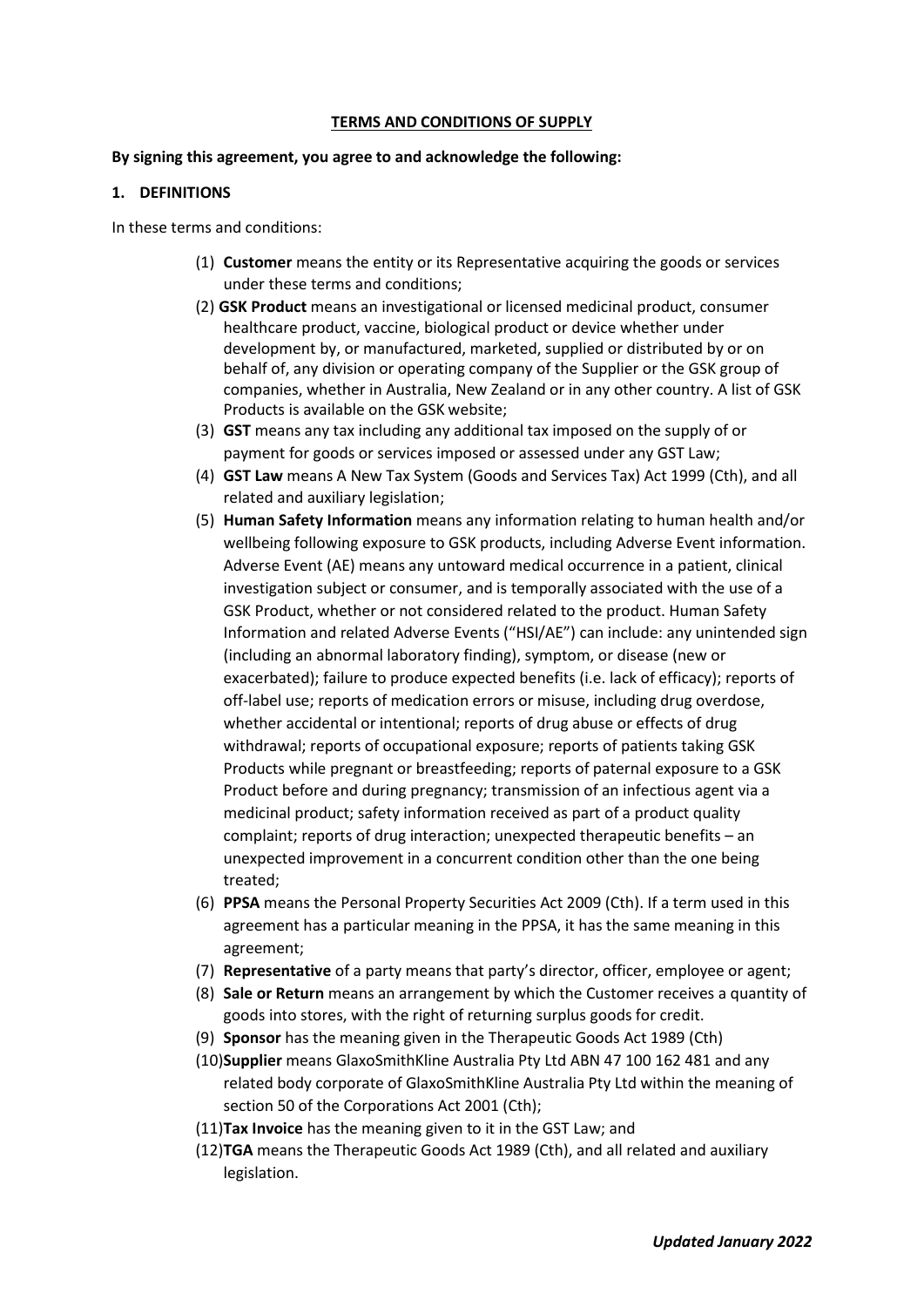#### **TERMS AND CONDITIONS OF SUPPLY**

#### **By signing this agreement, you agree to and acknowledge the following:**

#### **1. DEFINITIONS**

In these terms and conditions:

- (1) **Customer** means the entity or its Representative acquiring the goods or services under these terms and conditions;
- (2) **GSK Product** means an investigational or licensed medicinal product, consumer healthcare product, vaccine, biological product or device whether under development by, or manufactured, marketed, supplied or distributed by or on behalf of, any division or operating company of the Supplier or the GSK group of companies, whether in Australia, New Zealand or in any other country. A list of GSK Products is available on the GSK website;
- (3) **GST** means any tax including any additional tax imposed on the supply of or payment for goods or services imposed or assessed under any GST Law;
- (4) **GST Law** means A New Tax System (Goods and Services Tax) Act 1999 (Cth), and all related and auxiliary legislation;
- (5) **Human Safety Information** means any information relating to human health and/or wellbeing following exposure to GSK products, including Adverse Event information. Adverse Event (AE) means any untoward medical occurrence in a patient, clinical investigation subject or consumer, and is temporally associated with the use of a GSK Product, whether or not considered related to the product. Human Safety Information and related Adverse Events ("HSI/AE") can include: any unintended sign (including an abnormal laboratory finding), symptom, or disease (new or exacerbated); failure to produce expected benefits (i.e. lack of efficacy); reports of off-label use; reports of medication errors or misuse, including drug overdose, whether accidental or intentional; reports of drug abuse or effects of drug withdrawal; reports of occupational exposure; reports of patients taking GSK Products while pregnant or breastfeeding; reports of paternal exposure to a GSK Product before and during pregnancy; transmission of an infectious agent via a medicinal product; safety information received as part of a product quality complaint; reports of drug interaction; unexpected therapeutic benefits – an unexpected improvement in a concurrent condition other than the one being treated;
- (6) **PPSA** means the Personal Property Securities Act 2009 (Cth). If a term used in this agreement has a particular meaning in the PPSA, it has the same meaning in this agreement;
- (7) **Representative** of a party means that party's director, officer, employee or agent;
- (8) **Sale or Return** means an arrangement by which the Customer receives a quantity of goods into stores, with the right of returning surplus goods for credit.
- (9) **Sponsor** has the meaning given in the Therapeutic Goods Act 1989 (Cth)
- (10)**Supplier** means GlaxoSmithKline Australia Pty Ltd ABN 47 100 162 481 and any related body corporate of GlaxoSmithKline Australia Pty Ltd within the meaning of section 50 of the Corporations Act 2001 (Cth);
- (11)**Tax Invoice** has the meaning given to it in the GST Law; and
- (12)**TGA** means the Therapeutic Goods Act 1989 (Cth), and all related and auxiliary legislation.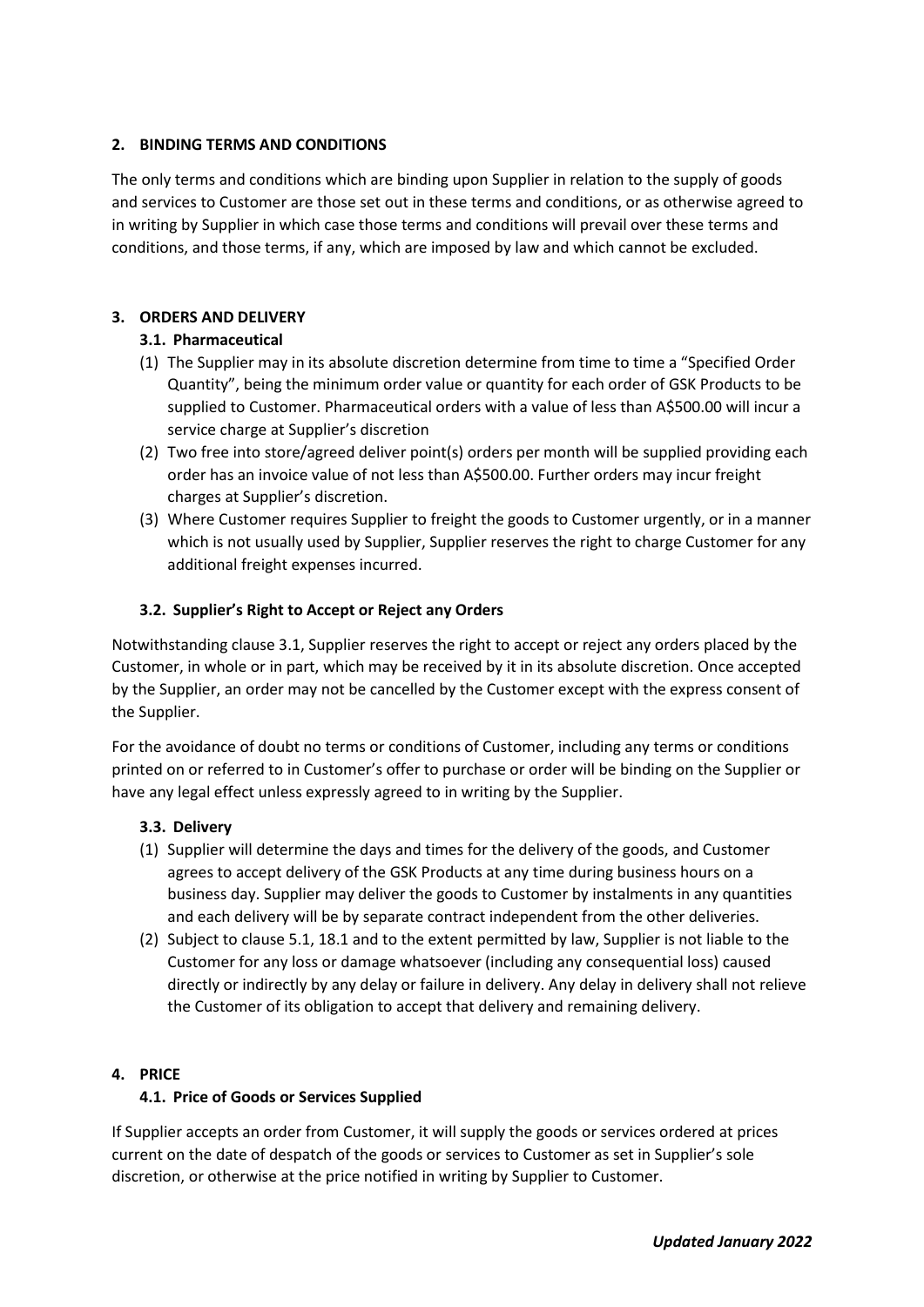## **2. BINDING TERMS AND CONDITIONS**

The only terms and conditions which are binding upon Supplier in relation to the supply of goods and services to Customer are those set out in these terms and conditions, or as otherwise agreed to in writing by Supplier in which case those terms and conditions will prevail over these terms and conditions, and those terms, if any, which are imposed by law and which cannot be excluded.

# **3. ORDERS AND DELIVERY**

## **3.1. Pharmaceutical**

- (1) The Supplier may in its absolute discretion determine from time to time a "Specified Order Quantity", being the minimum order value or quantity for each order of GSK Products to be supplied to Customer. Pharmaceutical orders with a value of less than A\$500.00 will incur a service charge at Supplier's discretion
- (2) Two free into store/agreed deliver point(s) orders per month will be supplied providing each order has an invoice value of not less than A\$500.00. Further orders may incur freight charges at Supplier's discretion.
- (3) Where Customer requires Supplier to freight the goods to Customer urgently, or in a manner which is not usually used by Supplier, Supplier reserves the right to charge Customer for any additional freight expenses incurred.

# **3.2. Supplier's Right to Accept or Reject any Orders**

Notwithstanding clause 3.1, Supplier reserves the right to accept or reject any orders placed by the Customer, in whole or in part, which may be received by it in its absolute discretion. Once accepted by the Supplier, an order may not be cancelled by the Customer except with the express consent of the Supplier.

For the avoidance of doubt no terms or conditions of Customer, including any terms or conditions printed on or referred to in Customer's offer to purchase or order will be binding on the Supplier or have any legal effect unless expressly agreed to in writing by the Supplier.

#### **3.3. Delivery**

- (1) Supplier will determine the days and times for the delivery of the goods, and Customer agrees to accept delivery of the GSK Products at any time during business hours on a business day. Supplier may deliver the goods to Customer by instalments in any quantities and each delivery will be by separate contract independent from the other deliveries.
- (2) Subject to clause 5.1, 18.1 and to the extent permitted by law, Supplier is not liable to the Customer for any loss or damage whatsoever (including any consequential loss) caused directly or indirectly by any delay or failure in delivery. Any delay in delivery shall not relieve the Customer of its obligation to accept that delivery and remaining delivery.

#### **4. PRICE**

# **4.1. Price of Goods or Services Supplied**

If Supplier accepts an order from Customer, it will supply the goods or services ordered at prices current on the date of despatch of the goods or services to Customer as set in Supplier's sole discretion, or otherwise at the price notified in writing by Supplier to Customer.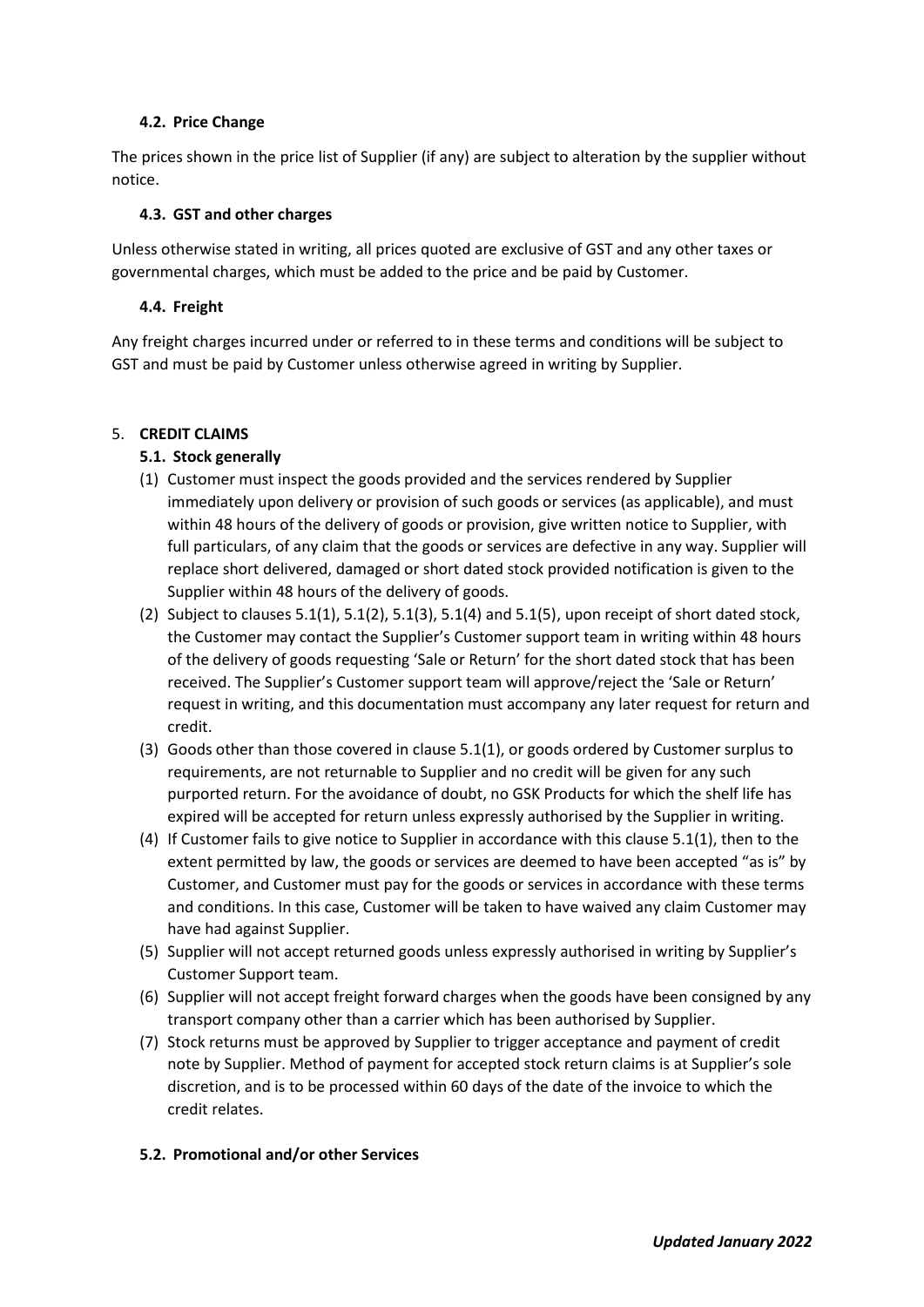## **4.2. Price Change**

The prices shown in the price list of Supplier (if any) are subject to alteration by the supplier without notice.

## **4.3. GST and other charges**

Unless otherwise stated in writing, all prices quoted are exclusive of GST and any other taxes or governmental charges, which must be added to the price and be paid by Customer.

## **4.4. Freight**

Any freight charges incurred under or referred to in these terms and conditions will be subject to GST and must be paid by Customer unless otherwise agreed in writing by Supplier.

## 5. **CREDIT CLAIMS**

# **5.1. Stock generally**

- (1) Customer must inspect the goods provided and the services rendered by Supplier immediately upon delivery or provision of such goods or services (as applicable), and must within 48 hours of the delivery of goods or provision, give written notice to Supplier, with full particulars, of any claim that the goods or services are defective in any way. Supplier will replace short delivered, damaged or short dated stock provided notification is given to the Supplier within 48 hours of the delivery of goods.
- (2) Subject to clauses  $5.1(1)$ ,  $5.1(2)$ ,  $5.1(3)$ ,  $5.1(4)$  and  $5.1(5)$ , upon receipt of short dated stock, the Customer may contact the Supplier's Customer support team in writing within 48 hours of the delivery of goods requesting 'Sale or Return' for the short dated stock that has been received. The Supplier's Customer support team will approve/reject the 'Sale or Return' request in writing, and this documentation must accompany any later request for return and credit.
- (3) Goods other than those covered in clause 5.1(1), or goods ordered by Customer surplus to requirements, are not returnable to Supplier and no credit will be given for any such purported return. For the avoidance of doubt, no GSK Products for which the shelf life has expired will be accepted for return unless expressly authorised by the Supplier in writing.
- (4) If Customer fails to give notice to Supplier in accordance with this clause 5.1(1), then to the extent permitted by law, the goods or services are deemed to have been accepted "as is" by Customer, and Customer must pay for the goods or services in accordance with these terms and conditions. In this case, Customer will be taken to have waived any claim Customer may have had against Supplier.
- (5) Supplier will not accept returned goods unless expressly authorised in writing by Supplier's Customer Support team.
- (6) Supplier will not accept freight forward charges when the goods have been consigned by any transport company other than a carrier which has been authorised by Supplier.
- (7) Stock returns must be approved by Supplier to trigger acceptance and payment of credit note by Supplier. Method of payment for accepted stock return claims is at Supplier's sole discretion, and is to be processed within 60 days of the date of the invoice to which the credit relates.

# **5.2. Promotional and/or other Services**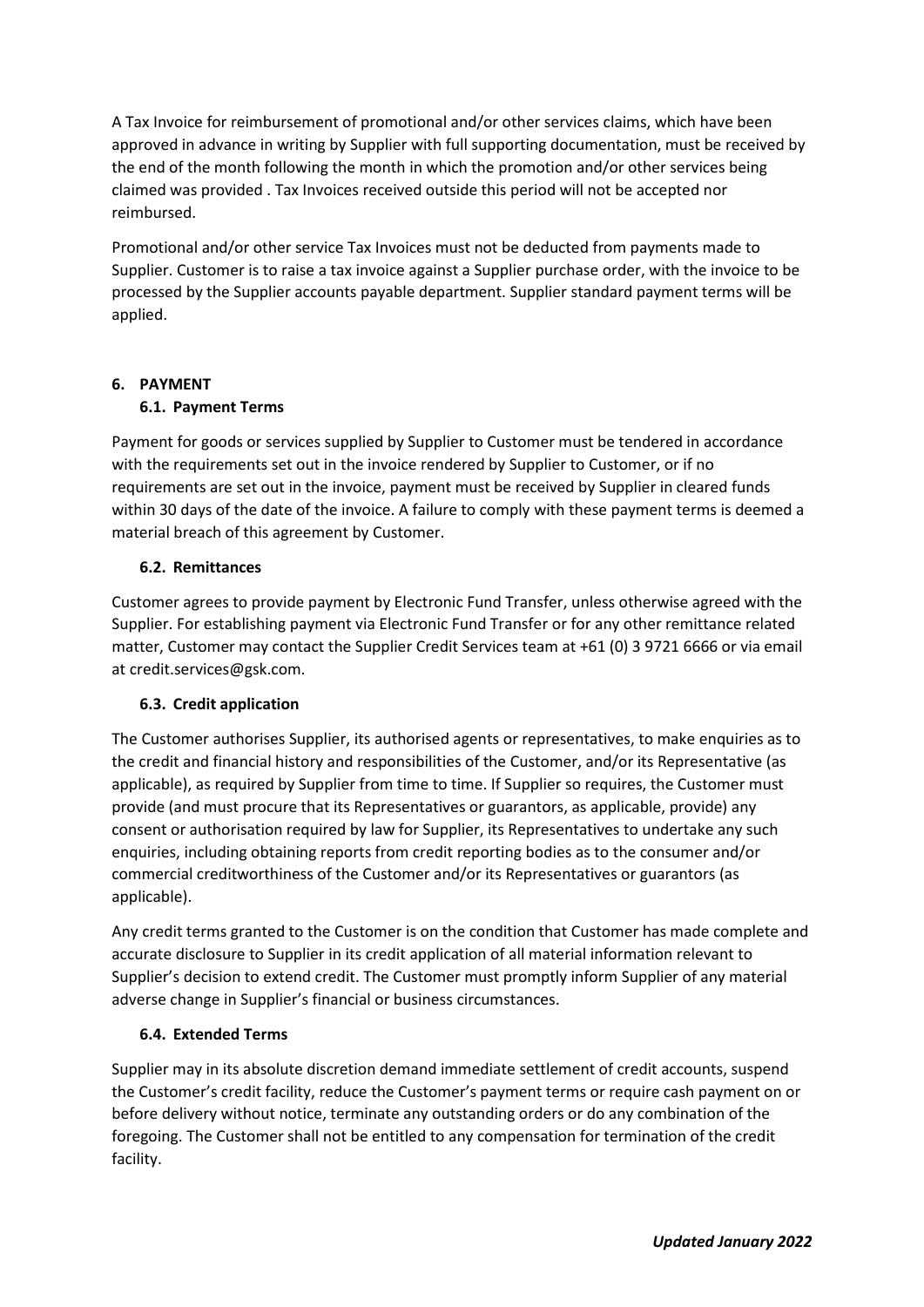A Tax Invoice for reimbursement of promotional and/or other services claims, which have been approved in advance in writing by Supplier with full supporting documentation, must be received by the end of the month following the month in which the promotion and/or other services being claimed was provided . Tax Invoices received outside this period will not be accepted nor reimbursed.

Promotional and/or other service Tax Invoices must not be deducted from payments made to Supplier. Customer is to raise a tax invoice against a Supplier purchase order, with the invoice to be processed by the Supplier accounts payable department. Supplier standard payment terms will be applied.

# **6. PAYMENT**

# **6.1. Payment Terms**

Payment for goods or services supplied by Supplier to Customer must be tendered in accordance with the requirements set out in the invoice rendered by Supplier to Customer, or if no requirements are set out in the invoice, payment must be received by Supplier in cleared funds within 30 days of the date of the invoice. A failure to comply with these payment terms is deemed a material breach of this agreement by Customer.

## **6.2. Remittances**

Customer agrees to provide payment by Electronic Fund Transfer, unless otherwise agreed with the Supplier. For establishing payment via Electronic Fund Transfer or for any other remittance related matter, Customer may contact the Supplier Credit Services team at +61 (0) 3 9721 6666 or via email at credit.services@gsk.com.

# **6.3. Credit application**

The Customer authorises Supplier, its authorised agents or representatives, to make enquiries as to the credit and financial history and responsibilities of the Customer, and/or its Representative (as applicable), as required by Supplier from time to time. If Supplier so requires, the Customer must provide (and must procure that its Representatives or guarantors, as applicable, provide) any consent or authorisation required by law for Supplier, its Representatives to undertake any such enquiries, including obtaining reports from credit reporting bodies as to the consumer and/or commercial creditworthiness of the Customer and/or its Representatives or guarantors (as applicable).

Any credit terms granted to the Customer is on the condition that Customer has made complete and accurate disclosure to Supplier in its credit application of all material information relevant to Supplier's decision to extend credit. The Customer must promptly inform Supplier of any material adverse change in Supplier's financial or business circumstances.

# **6.4. Extended Terms**

Supplier may in its absolute discretion demand immediate settlement of credit accounts, suspend the Customer's credit facility, reduce the Customer's payment terms or require cash payment on or before delivery without notice, terminate any outstanding orders or do any combination of the foregoing. The Customer shall not be entitled to any compensation for termination of the credit facility.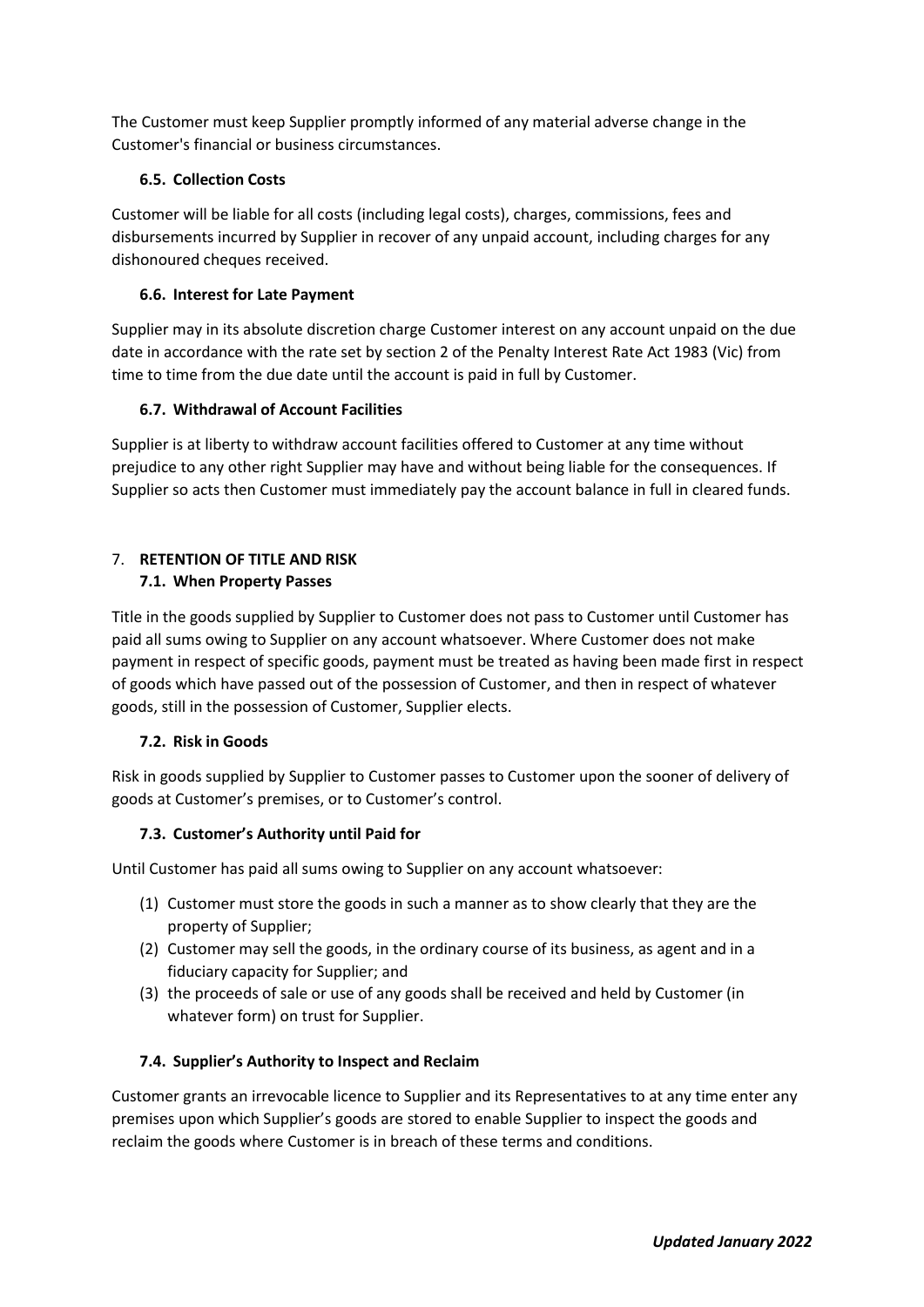The Customer must keep Supplier promptly informed of any material adverse change in the Customer's financial or business circumstances.

## **6.5. Collection Costs**

Customer will be liable for all costs (including legal costs), charges, commissions, fees and disbursements incurred by Supplier in recover of any unpaid account, including charges for any dishonoured cheques received.

## **6.6. Interest for Late Payment**

Supplier may in its absolute discretion charge Customer interest on any account unpaid on the due date in accordance with the rate set by section 2 of the Penalty Interest Rate Act 1983 (Vic) from time to time from the due date until the account is paid in full by Customer.

## **6.7. Withdrawal of Account Facilities**

Supplier is at liberty to withdraw account facilities offered to Customer at any time without prejudice to any other right Supplier may have and without being liable for the consequences. If Supplier so acts then Customer must immediately pay the account balance in full in cleared funds.

# 7. **RETENTION OF TITLE AND RISK**

# **7.1. When Property Passes**

Title in the goods supplied by Supplier to Customer does not pass to Customer until Customer has paid all sums owing to Supplier on any account whatsoever. Where Customer does not make payment in respect of specific goods, payment must be treated as having been made first in respect of goods which have passed out of the possession of Customer, and then in respect of whatever goods, still in the possession of Customer, Supplier elects.

### **7.2. Risk in Goods**

Risk in goods supplied by Supplier to Customer passes to Customer upon the sooner of delivery of goods at Customer's premises, or to Customer's control.

# **7.3. Customer's Authority until Paid for**

Until Customer has paid all sums owing to Supplier on any account whatsoever:

- (1) Customer must store the goods in such a manner as to show clearly that they are the property of Supplier;
- (2) Customer may sell the goods, in the ordinary course of its business, as agent and in a fiduciary capacity for Supplier; and
- (3) the proceeds of sale or use of any goods shall be received and held by Customer (in whatever form) on trust for Supplier.

#### **7.4. Supplier's Authority to Inspect and Reclaim**

Customer grants an irrevocable licence to Supplier and its Representatives to at any time enter any premises upon which Supplier's goods are stored to enable Supplier to inspect the goods and reclaim the goods where Customer is in breach of these terms and conditions.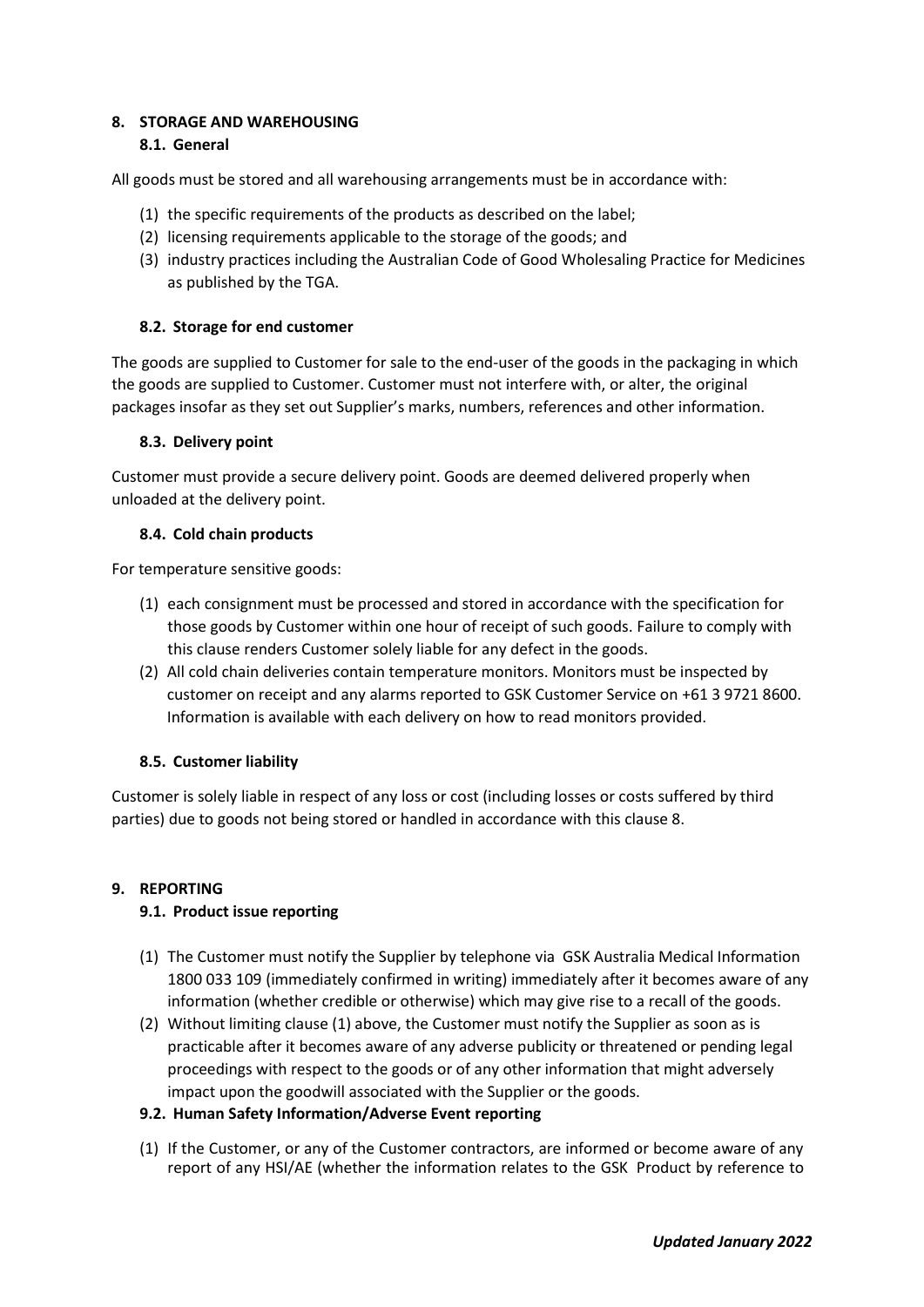### **8. STORAGE AND WAREHOUSING 8.1. General**

All goods must be stored and all warehousing arrangements must be in accordance with:

- (1) the specific requirements of the products as described on the label;
- (2) licensing requirements applicable to the storage of the goods; and
- (3) industry practices including the Australian Code of Good Wholesaling Practice for Medicines as published by the TGA.

### **8.2. Storage for end customer**

The goods are supplied to Customer for sale to the end-user of the goods in the packaging in which the goods are supplied to Customer. Customer must not interfere with, or alter, the original packages insofar as they set out Supplier's marks, numbers, references and other information.

#### **8.3. Delivery point**

Customer must provide a secure delivery point. Goods are deemed delivered properly when unloaded at the delivery point.

## **8.4. Cold chain products**

For temperature sensitive goods:

- (1) each consignment must be processed and stored in accordance with the specification for those goods by Customer within one hour of receipt of such goods. Failure to comply with this clause renders Customer solely liable for any defect in the goods.
- (2) All cold chain deliveries contain temperature monitors. Monitors must be inspected by customer on receipt and any alarms reported to GSK Customer Service on +61 3 9721 8600. Information is available with each delivery on how to read monitors provided.

# **8.5. Customer liability**

Customer is solely liable in respect of any loss or cost (including losses or costs suffered by third parties) due to goods not being stored or handled in accordance with this clause 8.

# **9. REPORTING**

# **9.1. Product issue reporting**

- (1) The Customer must notify the Supplier by telephone via GSK Australia Medical Information 1800 033 109 (immediately confirmed in writing) immediately after it becomes aware of any information (whether credible or otherwise) which may give rise to a recall of the goods.
- (2) Without limiting clause (1) above, the Customer must notify the Supplier as soon as is practicable after it becomes aware of any adverse publicity or threatened or pending legal proceedings with respect to the goods or of any other information that might adversely impact upon the goodwill associated with the Supplier or the goods.

#### **9.2. Human Safety Information/Adverse Event reporting**

(1) If the Customer, or any of the Customer contractors, are informed or become aware of any report of any HSI/AE (whether the information relates to the GSK Product by reference to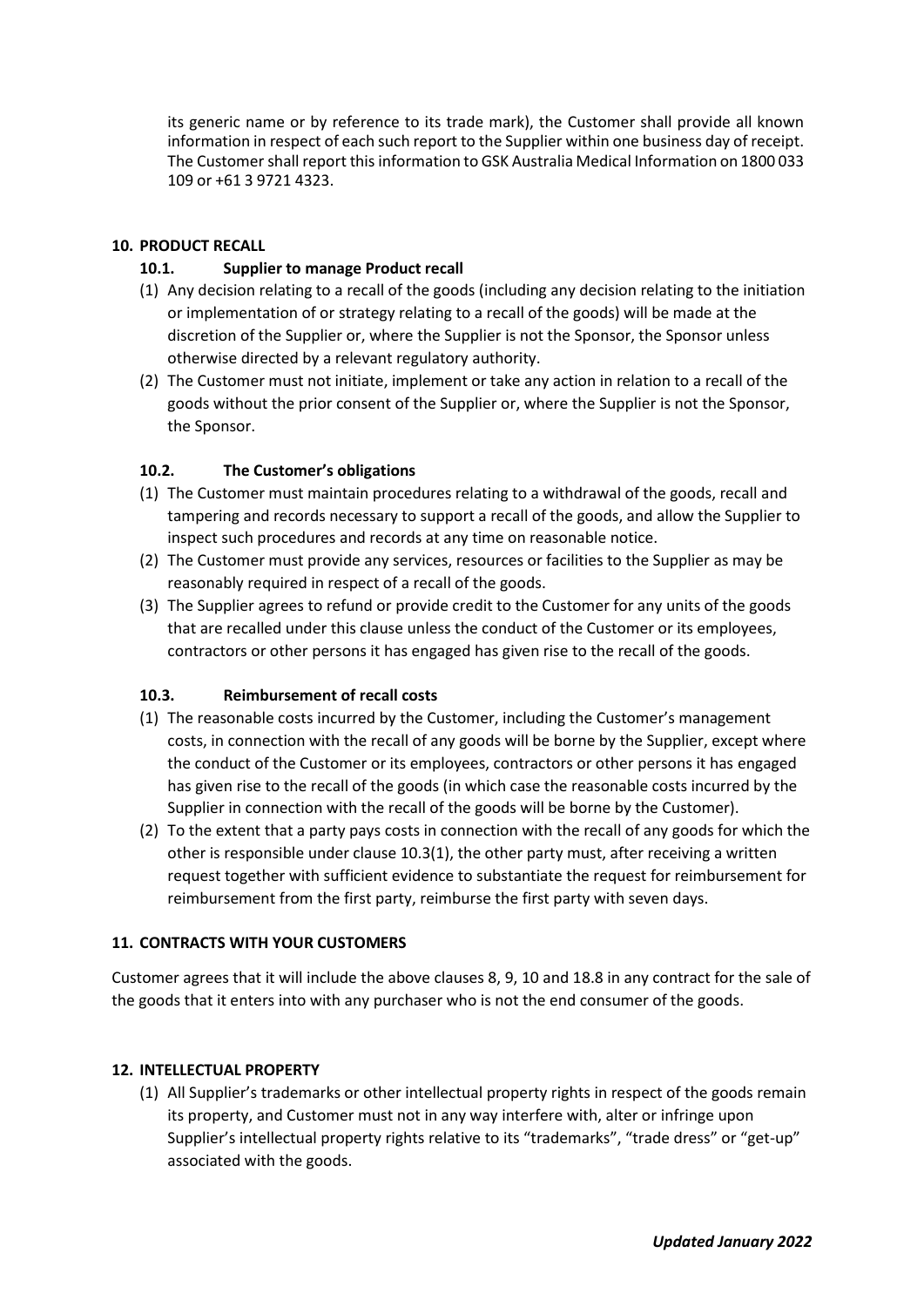its generic name or by reference to its trade mark), the Customer shall provide all known information in respect of each such report to the Supplier within one business day of receipt. The Customer shall report this information to GSK Australia Medical Information on 1800 033 109 or +61 3 9721 4323.

# **10. PRODUCT RECALL**

## **10.1. Supplier to manage Product recall**

- (1) Any decision relating to a recall of the goods (including any decision relating to the initiation or implementation of or strategy relating to a recall of the goods) will be made at the discretion of the Supplier or, where the Supplier is not the Sponsor, the Sponsor unless otherwise directed by a relevant regulatory authority.
- (2) The Customer must not initiate, implement or take any action in relation to a recall of the goods without the prior consent of the Supplier or, where the Supplier is not the Sponsor, the Sponsor.

## **10.2. The Customer's obligations**

- (1) The Customer must maintain procedures relating to a withdrawal of the goods, recall and tampering and records necessary to support a recall of the goods, and allow the Supplier to inspect such procedures and records at any time on reasonable notice.
- (2) The Customer must provide any services, resources or facilities to the Supplier as may be reasonably required in respect of a recall of the goods.
- (3) The Supplier agrees to refund or provide credit to the Customer for any units of the goods that are recalled under this clause unless the conduct of the Customer or its employees, contractors or other persons it has engaged has given rise to the recall of the goods.

#### **10.3. Reimbursement of recall costs**

- (1) The reasonable costs incurred by the Customer, including the Customer's management costs, in connection with the recall of any goods will be borne by the Supplier, except where the conduct of the Customer or its employees, contractors or other persons it has engaged has given rise to the recall of the goods (in which case the reasonable costs incurred by the Supplier in connection with the recall of the goods will be borne by the Customer).
- (2) To the extent that a party pays costs in connection with the recall of any goods for which the other is responsible under clause 10.3(1), the other party must, after receiving a written request together with sufficient evidence to substantiate the request for reimbursement for reimbursement from the first party, reimburse the first party with seven days.

#### **11. CONTRACTS WITH YOUR CUSTOMERS**

Customer agrees that it will include the above clauses 8, 9, 10 and 18.8 in any contract for the sale of the goods that it enters into with any purchaser who is not the end consumer of the goods.

#### **12. INTELLECTUAL PROPERTY**

(1) All Supplier's trademarks or other intellectual property rights in respect of the goods remain its property, and Customer must not in any way interfere with, alter or infringe upon Supplier's intellectual property rights relative to its "trademarks", "trade dress" or "get-up" associated with the goods.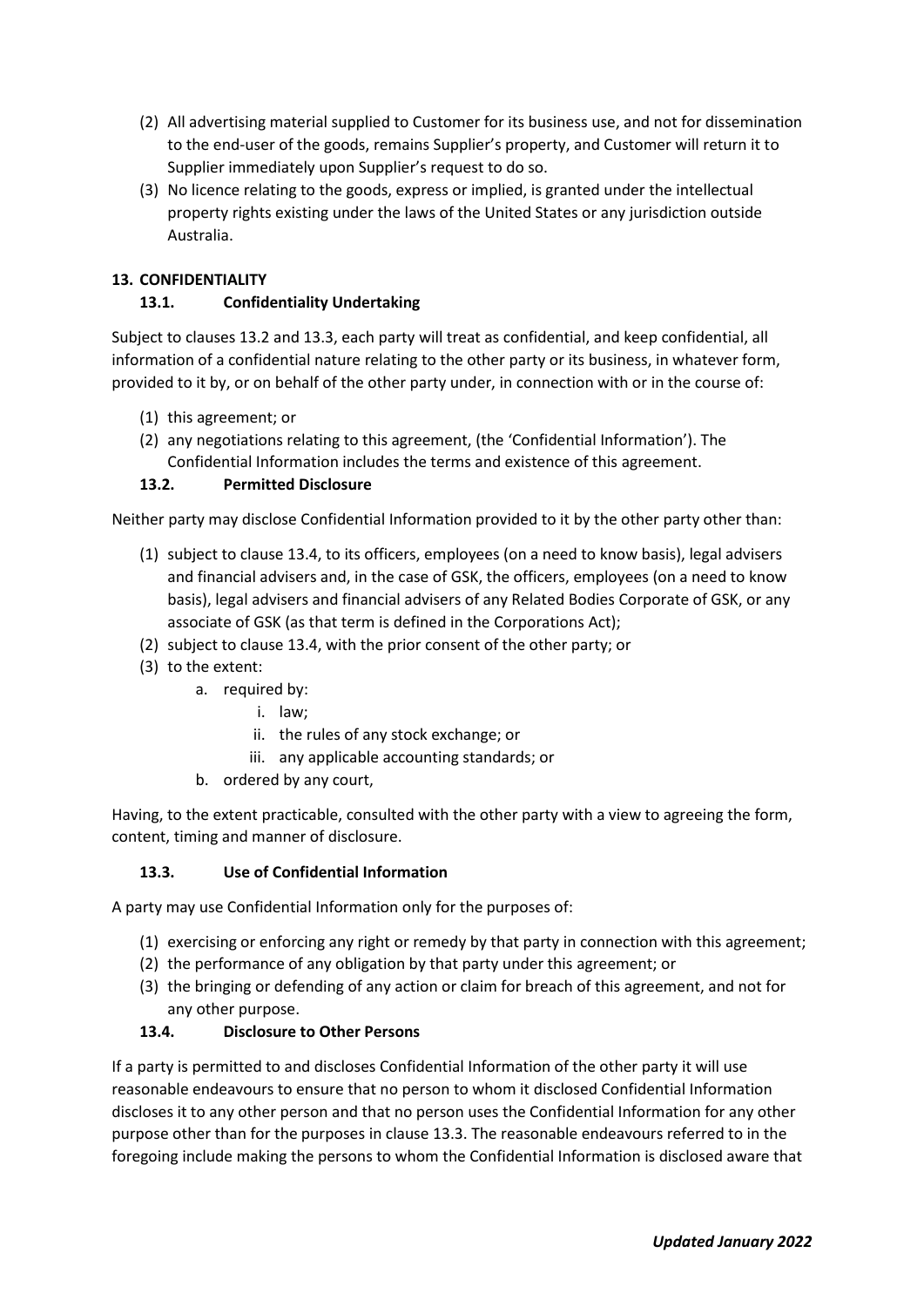- (2) All advertising material supplied to Customer for its business use, and not for dissemination to the end-user of the goods, remains Supplier's property, and Customer will return it to Supplier immediately upon Supplier's request to do so.
- (3) No licence relating to the goods, express or implied, is granted under the intellectual property rights existing under the laws of the United States or any jurisdiction outside Australia.

# **13. CONFIDENTIALITY**

# **13.1. Confidentiality Undertaking**

Subject to clauses 13.2 and 13.3, each party will treat as confidential, and keep confidential, all information of a confidential nature relating to the other party or its business, in whatever form, provided to it by, or on behalf of the other party under, in connection with or in the course of:

- (1) this agreement; or
- (2) any negotiations relating to this agreement, (the 'Confidential Information'). The Confidential Information includes the terms and existence of this agreement.

# **13.2. Permitted Disclosure**

Neither party may disclose Confidential Information provided to it by the other party other than:

- (1) subject to clause 13.4, to its officers, employees (on a need to know basis), legal advisers and financial advisers and, in the case of GSK, the officers, employees (on a need to know basis), legal advisers and financial advisers of any Related Bodies Corporate of GSK, or any associate of GSK (as that term is defined in the Corporations Act);
- (2) subject to clause 13.4, with the prior consent of the other party; or
- (3) to the extent:
	- a. required by:
		- i. law;
		- ii. the rules of any stock exchange; or
		- iii. any applicable accounting standards; or
	- b. ordered by any court,

Having, to the extent practicable, consulted with the other party with a view to agreeing the form, content, timing and manner of disclosure.

# **13.3. Use of Confidential Information**

A party may use Confidential Information only for the purposes of:

- (1) exercising or enforcing any right or remedy by that party in connection with this agreement;
- (2) the performance of any obligation by that party under this agreement; or
- (3) the bringing or defending of any action or claim for breach of this agreement, and not for any other purpose.

# **13.4. Disclosure to Other Persons**

If a party is permitted to and discloses Confidential Information of the other party it will use reasonable endeavours to ensure that no person to whom it disclosed Confidential Information discloses it to any other person and that no person uses the Confidential Information for any other purpose other than for the purposes in clause 13.3. The reasonable endeavours referred to in the foregoing include making the persons to whom the Confidential Information is disclosed aware that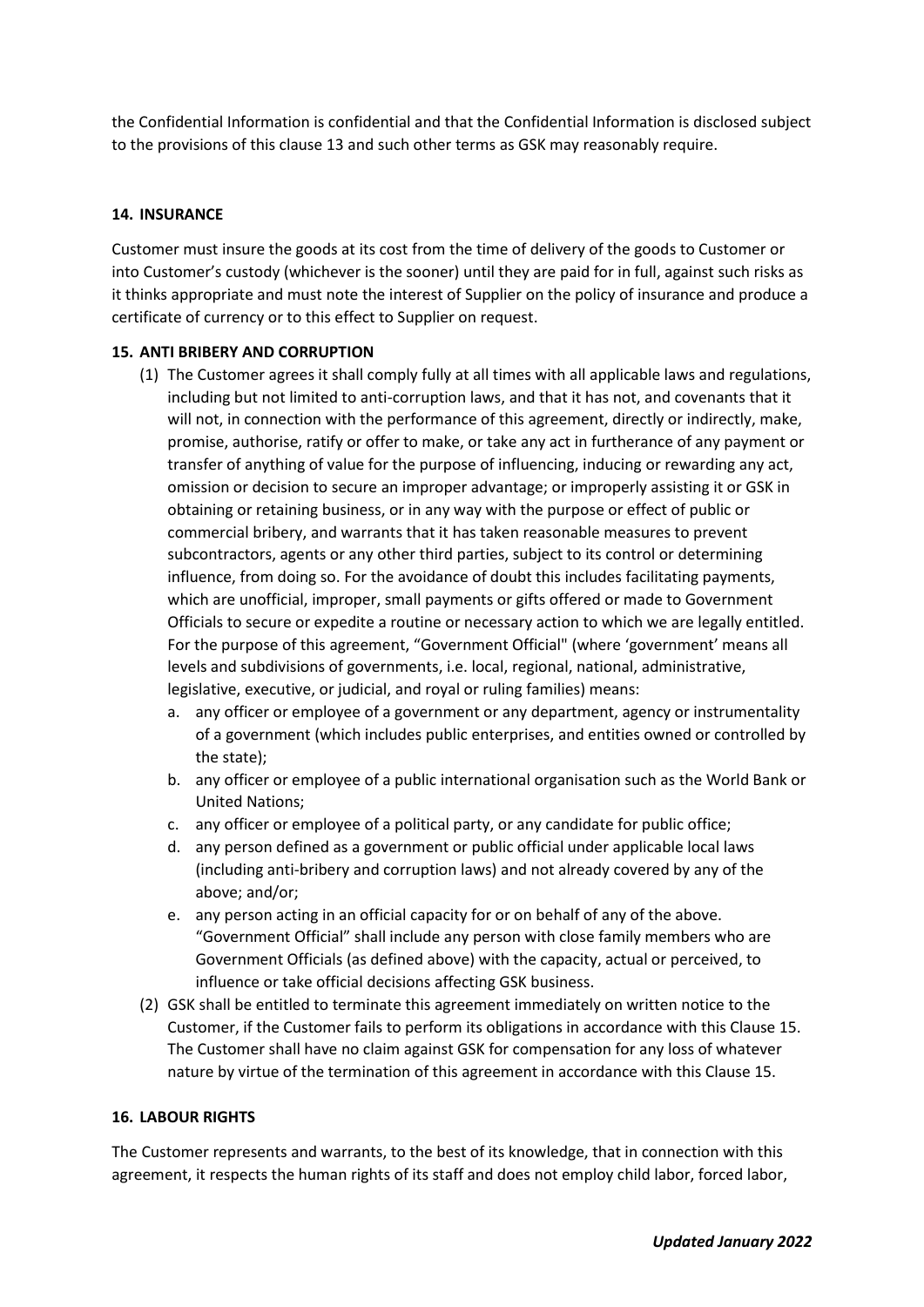the Confidential Information is confidential and that the Confidential Information is disclosed subject to the provisions of this clause 13 and such other terms as GSK may reasonably require.

## **14. INSURANCE**

Customer must insure the goods at its cost from the time of delivery of the goods to Customer or into Customer's custody (whichever is the sooner) until they are paid for in full, against such risks as it thinks appropriate and must note the interest of Supplier on the policy of insurance and produce a certificate of currency or to this effect to Supplier on request.

## **15. ANTI BRIBERY AND CORRUPTION**

- (1) The Customer agrees it shall comply fully at all times with all applicable laws and regulations, including but not limited to anti-corruption laws, and that it has not, and covenants that it will not, in connection with the performance of this agreement, directly or indirectly, make, promise, authorise, ratify or offer to make, or take any act in furtherance of any payment or transfer of anything of value for the purpose of influencing, inducing or rewarding any act, omission or decision to secure an improper advantage; or improperly assisting it or GSK in obtaining or retaining business, or in any way with the purpose or effect of public or commercial bribery, and warrants that it has taken reasonable measures to prevent subcontractors, agents or any other third parties, subject to its control or determining influence, from doing so. For the avoidance of doubt this includes facilitating payments, which are unofficial, improper, small payments or gifts offered or made to Government Officials to secure or expedite a routine or necessary action to which we are legally entitled. For the purpose of this agreement, "Government Official" (where 'government' means all levels and subdivisions of governments, i.e. local, regional, national, administrative, legislative, executive, or judicial, and royal or ruling families) means:
	- a. any officer or employee of a government or any department, agency or instrumentality of a government (which includes public enterprises, and entities owned or controlled by the state);
	- b. any officer or employee of a public international organisation such as the World Bank or United Nations;
	- c. any officer or employee of a political party, or any candidate for public office;
	- d. any person defined as a government or public official under applicable local laws (including anti-bribery and corruption laws) and not already covered by any of the above; and/or;
	- e. any person acting in an official capacity for or on behalf of any of the above. "Government Official" shall include any person with close family members who are Government Officials (as defined above) with the capacity, actual or perceived, to influence or take official decisions affecting GSK business.
- (2) GSK shall be entitled to terminate this agreement immediately on written notice to the Customer, if the Customer fails to perform its obligations in accordance with this Clause 15. The Customer shall have no claim against GSK for compensation for any loss of whatever nature by virtue of the termination of this agreement in accordance with this Clause 15.

#### **16. LABOUR RIGHTS**

The Customer represents and warrants, to the best of its knowledge, that in connection with this agreement, it respects the human rights of its staff and does not employ child labor, forced labor,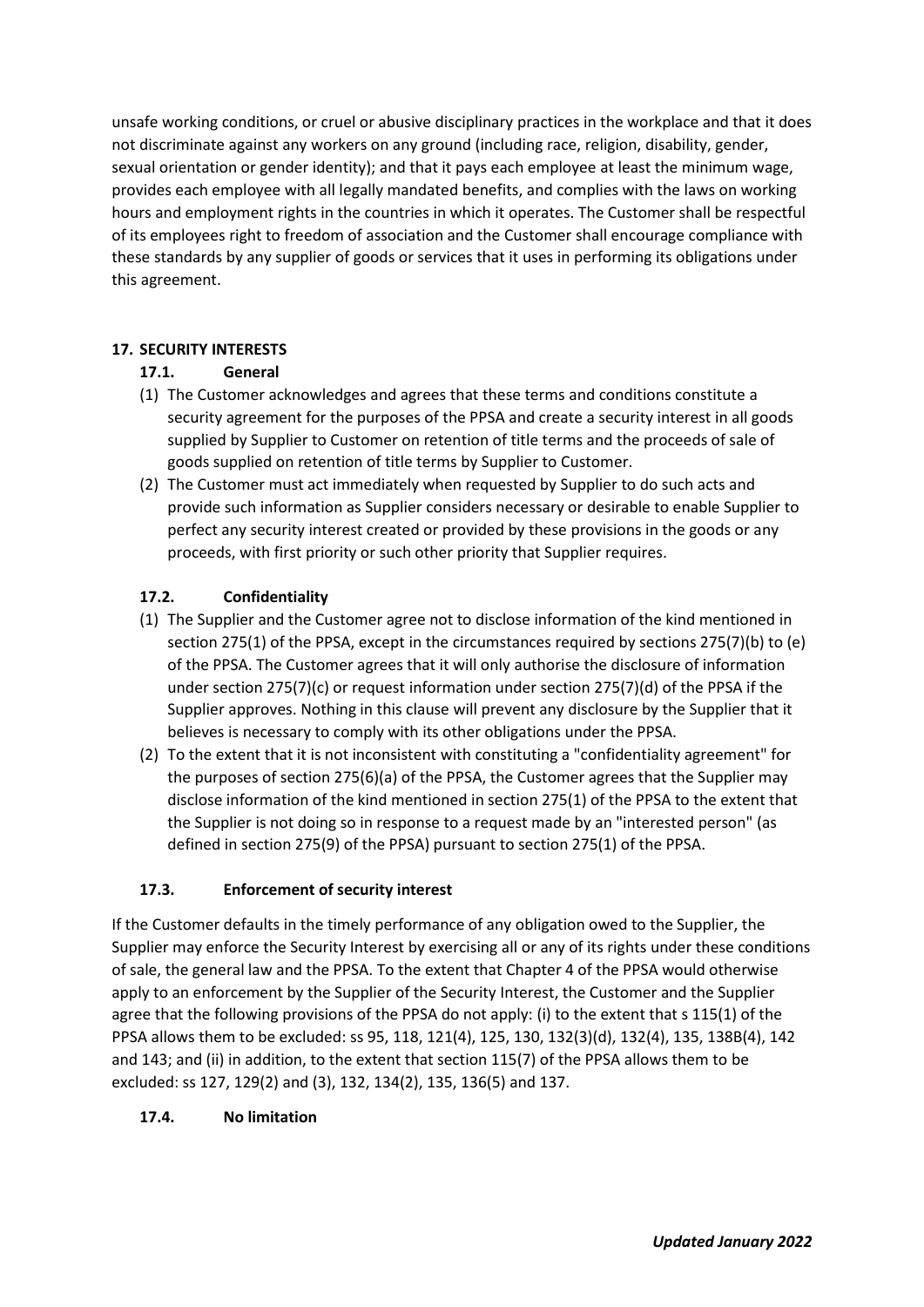unsafe working conditions, or cruel or abusive disciplinary practices in the workplace and that it does not discriminate against any workers on any ground (including race, religion, disability, gender, sexual orientation or gender identity); and that it pays each employee at least the minimum wage, provides each employee with all legally mandated benefits, and complies with the laws on working hours and employment rights in the countries in which it operates. The Customer shall be respectful of its employees right to freedom of association and the Customer shall encourage compliance with these standards by any supplier of goods or services that it uses in performing its obligations under this agreement.

# **17. SECURITY INTERESTS**

# **17.1. General**

- (1) The Customer acknowledges and agrees that these terms and conditions constitute a security agreement for the purposes of the PPSA and create a security interest in all goods supplied by Supplier to Customer on retention of title terms and the proceeds of sale of goods supplied on retention of title terms by Supplier to Customer.
- (2) The Customer must act immediately when requested by Supplier to do such acts and provide such information as Supplier considers necessary or desirable to enable Supplier to perfect any security interest created or provided by these provisions in the goods or any proceeds, with first priority or such other priority that Supplier requires.

# **17.2. Confidentiality**

- (1) The Supplier and the Customer agree not to disclose information of the kind mentioned in section 275(1) of the PPSA, except in the circumstances required by sections 275(7)(b) to (e) of the PPSA. The Customer agrees that it will only authorise the disclosure of information under section 275(7)(c) or request information under section 275(7)(d) of the PPSA if the Supplier approves. Nothing in this clause will prevent any disclosure by the Supplier that it believes is necessary to comply with its other obligations under the PPSA.
- (2) To the extent that it is not inconsistent with constituting a "confidentiality agreement" for the purposes of section 275(6)(a) of the PPSA, the Customer agrees that the Supplier may disclose information of the kind mentioned in section 275(1) of the PPSA to the extent that the Supplier is not doing so in response to a request made by an "interested person" (as defined in section 275(9) of the PPSA) pursuant to section 275(1) of the PPSA.

# **17.3. Enforcement of security interest**

If the Customer defaults in the timely performance of any obligation owed to the Supplier, the Supplier may enforce the Security Interest by exercising all or any of its rights under these conditions of sale, the general law and the PPSA. To the extent that Chapter 4 of the PPSA would otherwise apply to an enforcement by the Supplier of the Security Interest, the Customer and the Supplier agree that the following provisions of the PPSA do not apply: (i) to the extent that s 115(1) of the PPSA allows them to be excluded: ss 95, 118, 121(4), 125, 130, 132(3)(d), 132(4), 135, 138B(4), 142 and 143; and (ii) in addition, to the extent that section 115(7) of the PPSA allows them to be excluded: ss 127, 129(2) and (3), 132, 134(2), 135, 136(5) and 137.

# **17.4. No limitation**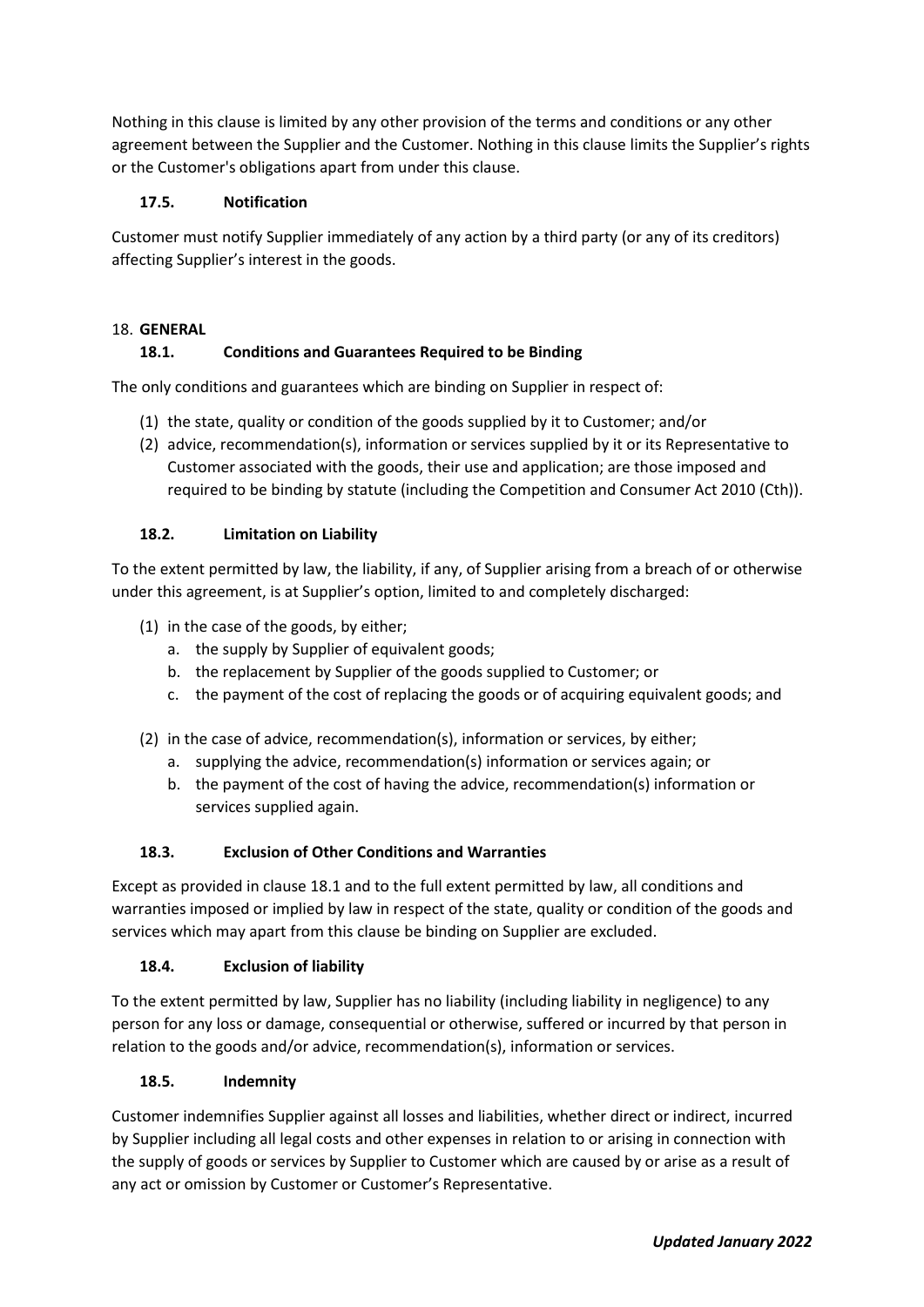Nothing in this clause is limited by any other provision of the terms and conditions or any other agreement between the Supplier and the Customer. Nothing in this clause limits the Supplier's rights or the Customer's obligations apart from under this clause.

# **17.5. Notification**

Customer must notify Supplier immediately of any action by a third party (or any of its creditors) affecting Supplier's interest in the goods.

## 18. **GENERAL**

# **18.1. Conditions and Guarantees Required to be Binding**

The only conditions and guarantees which are binding on Supplier in respect of:

- (1) the state, quality or condition of the goods supplied by it to Customer; and/or
- (2) advice, recommendation(s), information or services supplied by it or its Representative to Customer associated with the goods, their use and application; are those imposed and required to be binding by statute (including the Competition and Consumer Act 2010 (Cth)).

## **18.2. Limitation on Liability**

To the extent permitted by law, the liability, if any, of Supplier arising from a breach of or otherwise under this agreement, is at Supplier's option, limited to and completely discharged:

- (1) in the case of the goods, by either;
	- a. the supply by Supplier of equivalent goods;
	- b. the replacement by Supplier of the goods supplied to Customer; or
	- c. the payment of the cost of replacing the goods or of acquiring equivalent goods; and
- (2) in the case of advice, recommendation(s), information or services, by either;
	- a. supplying the advice, recommendation(s) information or services again; or
	- b. the payment of the cost of having the advice, recommendation(s) information or services supplied again.

#### **18.3. Exclusion of Other Conditions and Warranties**

Except as provided in clause 18.1 and to the full extent permitted by law, all conditions and warranties imposed or implied by law in respect of the state, quality or condition of the goods and services which may apart from this clause be binding on Supplier are excluded.

#### **18.4. Exclusion of liability**

To the extent permitted by law, Supplier has no liability (including liability in negligence) to any person for any loss or damage, consequential or otherwise, suffered or incurred by that person in relation to the goods and/or advice, recommendation(s), information or services.

#### **18.5. Indemnity**

Customer indemnifies Supplier against all losses and liabilities, whether direct or indirect, incurred by Supplier including all legal costs and other expenses in relation to or arising in connection with the supply of goods or services by Supplier to Customer which are caused by or arise as a result of any act or omission by Customer or Customer's Representative.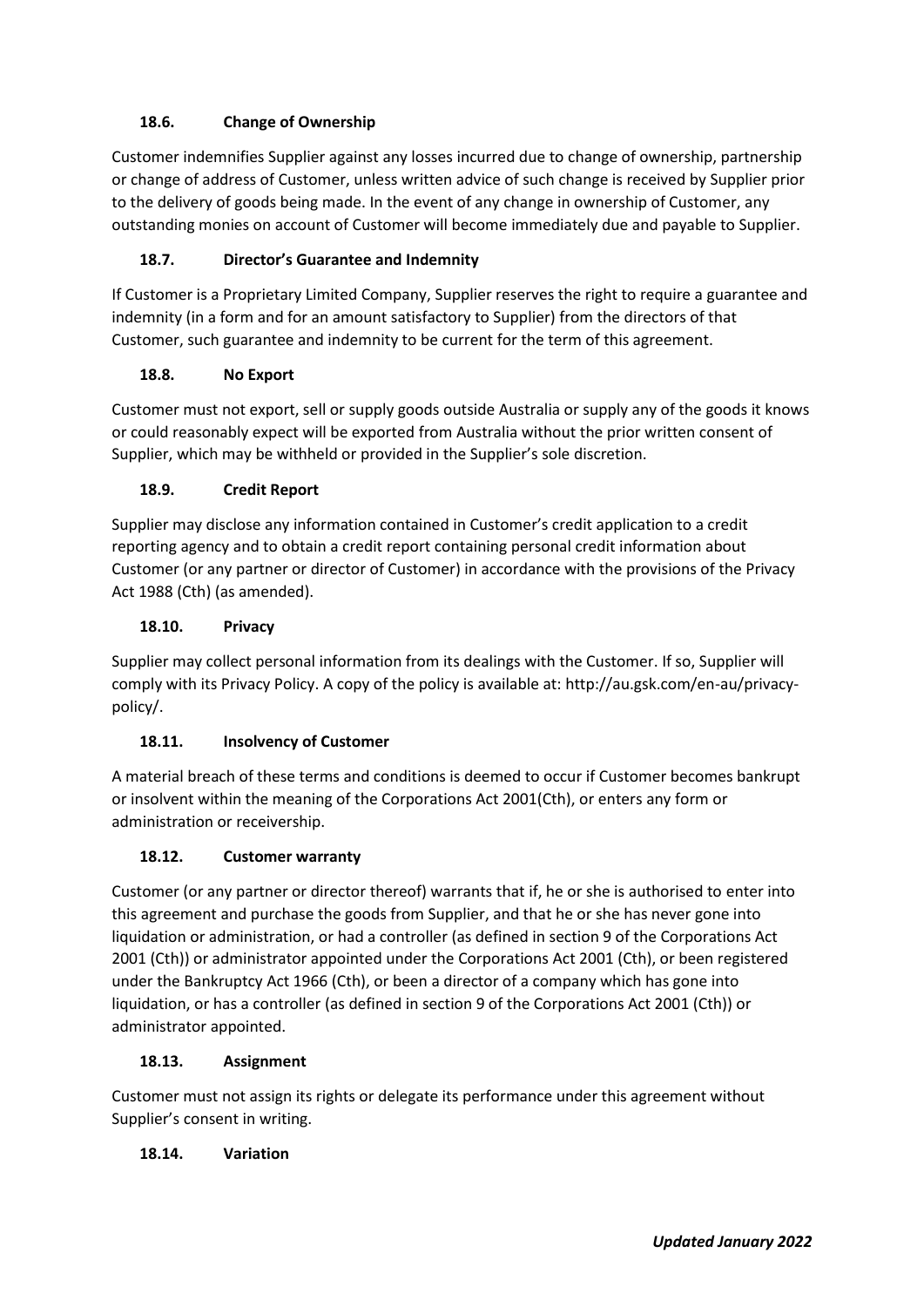# **18.6. Change of Ownership**

Customer indemnifies Supplier against any losses incurred due to change of ownership, partnership or change of address of Customer, unless written advice of such change is received by Supplier prior to the delivery of goods being made. In the event of any change in ownership of Customer, any outstanding monies on account of Customer will become immediately due and payable to Supplier.

# **18.7. Director's Guarantee and Indemnity**

If Customer is a Proprietary Limited Company, Supplier reserves the right to require a guarantee and indemnity (in a form and for an amount satisfactory to Supplier) from the directors of that Customer, such guarantee and indemnity to be current for the term of this agreement.

# **18.8. No Export**

Customer must not export, sell or supply goods outside Australia or supply any of the goods it knows or could reasonably expect will be exported from Australia without the prior written consent of Supplier, which may be withheld or provided in the Supplier's sole discretion.

# **18.9. Credit Report**

Supplier may disclose any information contained in Customer's credit application to a credit reporting agency and to obtain a credit report containing personal credit information about Customer (or any partner or director of Customer) in accordance with the provisions of the Privacy Act 1988 (Cth) (as amended).

# **18.10. Privacy**

Supplier may collect personal information from its dealings with the Customer. If so, Supplier will comply with its Privacy Policy. A copy of the policy is available at: http://au.gsk.com/en-au/privacypolicy/.

# **18.11. Insolvency of Customer**

A material breach of these terms and conditions is deemed to occur if Customer becomes bankrupt or insolvent within the meaning of the Corporations Act 2001(Cth), or enters any form or administration or receivership.

# **18.12. Customer warranty**

Customer (or any partner or director thereof) warrants that if, he or she is authorised to enter into this agreement and purchase the goods from Supplier, and that he or she has never gone into liquidation or administration, or had a controller (as defined in section 9 of the Corporations Act 2001 (Cth)) or administrator appointed under the Corporations Act 2001 (Cth), or been registered under the Bankruptcy Act 1966 (Cth), or been a director of a company which has gone into liquidation, or has a controller (as defined in section 9 of the Corporations Act 2001 (Cth)) or administrator appointed.

# **18.13. Assignment**

Customer must not assign its rights or delegate its performance under this agreement without Supplier's consent in writing.

# **18.14. Variation**